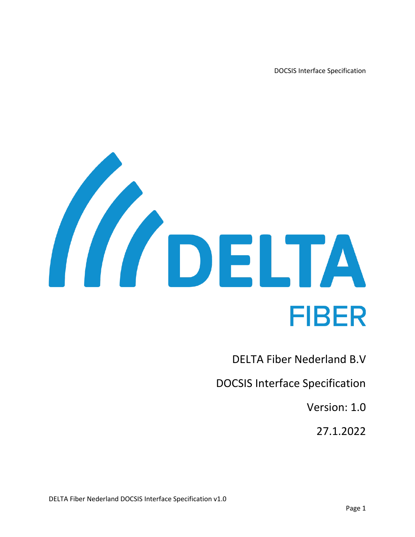DOCSIS Interface Specification



DELTA Fiber Nederland B.V

DOCSIS Interface Specification

Version: 1.0

27.1.2022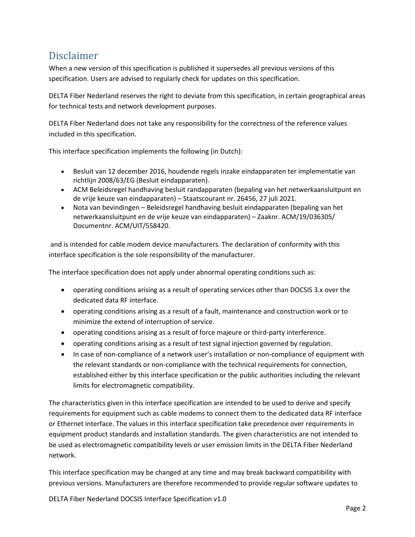### <span id="page-1-0"></span>Disclaimer

When a new version of this specification is published it supersedes all previous versions of this specification. Users are advised to regularly check for updates on this specification.

DELTA Fiber Nederland reserves the right to deviate from this specification, in certain geographical areas for technical tests and network development purposes.

DELTA Fiber Nederland does not take any responsibility for the correctness of the reference values included in this specification.

This interface specification implements the following (in Dutch):

- Besluit van 12 december 2016, houdende regels inzake eindapparaten ter implementatie van richtlijn 2008/63/EG (Besluit eindapparaten).
- ACM Beleidsregel handhaving besluit randapparaten (bepaling van het netwerkaansluitpunt en de vrije keuze van eindapparaten) – Staatscourant nr. 26456, 27 juli 2021.
- Nota van bevindingen Beleidsregel handhaving besluit eindapparaten (bepaling van het netwerkaansluitpunt en de vrije keuze van eindapparaten) – Zaaknr. ACM/19/036305/ Documentnr. ACM/UIT/558420.

and is intended for cable modem device manufacturers. The declaration of conformity with this interface specification is the sole responsibility of the manufacturer.

The interface specification does not apply under abnormal operating conditions such as:

- operating conditions arising as a result of operating services other than DOCSIS 3.x over the dedicated data RF interface.
- operating conditions arising as a result of a fault, maintenance and construction work or to minimize the extend of interruption of service.
- operating conditions arising as a result of force majeure or third-party interference.
- operating conditions arising as a result of test signal injection governed by regulation.
- In case of non-compliance of a network user's installation or non-compliance of equipment with the relevant standards or non-compliance with the technical requirements for connection, established either by this interface specification or the public authorities including the relevant limits for electromagnetic compatibility.

The characteristics given in this interface specification are intended to be used to derive and specify requirements for equipment such as cable modems to connect them to the dedicated data RF interface or Ethernet interface. The values in this interface specification take precedence over requirements in equipment product standards and installation standards. The given characteristics are not intended to be used as electromagnetic compatibility levels or user emission limits in the DELTA Fiber Nederland network.

This interface specification may be changed at any time and may break backward compatibility with previous versions. Manufacturers are therefore recommended to provide regular software updates to

DELTA Fiber Nederland DOCSIS Interface Specification v1.0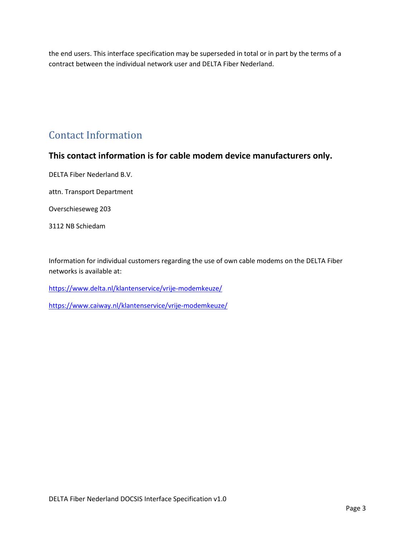the end users. This interface specification may be superseded in total or in part by the terms of a contract between the individual network user and DELTA Fiber Nederland.

### <span id="page-2-0"></span>Contact Information

#### **This contact information is for cable modem device manufacturers only.**

DELTA Fiber Nederland B.V.

attn. Transport Department

Overschieseweg 203

3112 NB Schiedam

Information for individual customers regarding the use of own cable modems on the DELTA Fiber networks is available at:

<https://www.delta.nl/klantenservice/vrije-modemkeuze/>

<https://www.caiway.nl/klantenservice/vrije-modemkeuze/>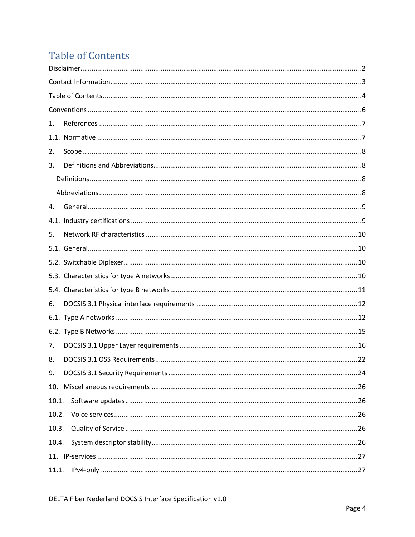# <span id="page-3-0"></span>**Table of Contents**

| 1.    |  |
|-------|--|
|       |  |
| 2.    |  |
| 3.    |  |
|       |  |
|       |  |
| 4.    |  |
|       |  |
| 5.    |  |
|       |  |
|       |  |
|       |  |
|       |  |
| 6.    |  |
|       |  |
|       |  |
| 7.    |  |
| 8.    |  |
| 9.    |  |
|       |  |
| 10.1. |  |
| 10.2. |  |
| 10.3. |  |
| 10.4. |  |
|       |  |
| 11.1. |  |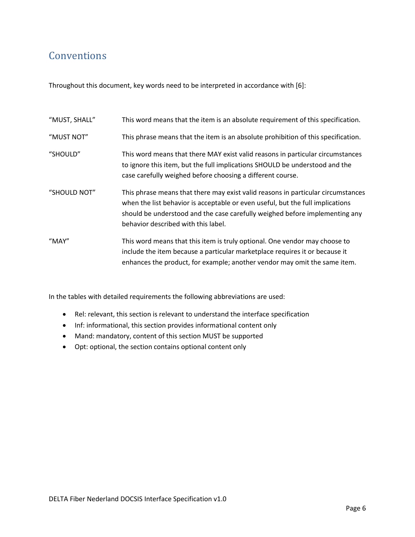### <span id="page-5-0"></span>Conventions

Throughout this document, key words need to be interpreted in accordance with [6]:

| "MUST, SHALL" | This word means that the item is an absolute requirement of this specification.                                                                                                                                                                                                          |
|---------------|------------------------------------------------------------------------------------------------------------------------------------------------------------------------------------------------------------------------------------------------------------------------------------------|
| "MUST NOT"    | This phrase means that the item is an absolute prohibition of this specification.                                                                                                                                                                                                        |
| "SHOULD"      | This word means that there MAY exist valid reasons in particular circumstances<br>to ignore this item, but the full implications SHOULD be understood and the<br>case carefully weighed before choosing a different course.                                                              |
| "SHOULD NOT"  | This phrase means that there may exist valid reasons in particular circumstances<br>when the list behavior is acceptable or even useful, but the full implications<br>should be understood and the case carefully weighed before implementing any<br>behavior described with this label. |
| "MAY"         | This word means that this item is truly optional. One vendor may choose to<br>include the item because a particular marketplace requires it or because it<br>enhances the product, for example; another vendor may omit the same item.                                                   |

In the tables with detailed requirements the following abbreviations are used:

- Rel: relevant, this section is relevant to understand the interface specification
- Inf: informational, this section provides informational content only
- Mand: mandatory, content of this section MUST be supported
- Opt: optional, the section contains optional content only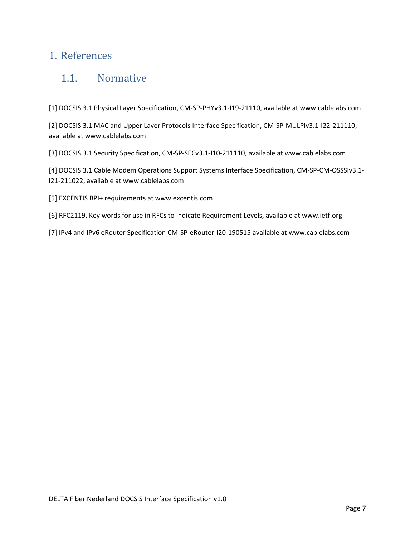#### <span id="page-6-1"></span><span id="page-6-0"></span>1. References

#### 1.1. Normative

[1] DOCSIS 3.1 Physical Layer Specification, CM-SP-PHYv3.1-I19-21110, available at www.cablelabs.com

[2] DOCSIS 3.1 MAC and Upper Layer Protocols Interface Specification, CM-SP-MULPIv3.1-I22-211110, available at www.cablelabs.com

[3] DOCSIS 3.1 Security Specification, CM-SP-SECv3.1-I10-211110, available at www.cablelabs.com

[4] DOCSIS 3.1 Cable Modem Operations Support Systems Interface Specification, CM-SP-CM-OSSSIv3.1- I21-211022, available at www.cablelabs.com

- [5] EXCENTIS BPI+ requirements at www.excentis.com
- [6] RFC2119, Key words for use in RFCs to Indicate Requirement Levels, available a[t www.ietf.org](http://www.ietf.org/)
- [7] IPv4 and IPv6 eRouter Specification CM-SP-eRouter-I20-190515 available at www.cablelabs.com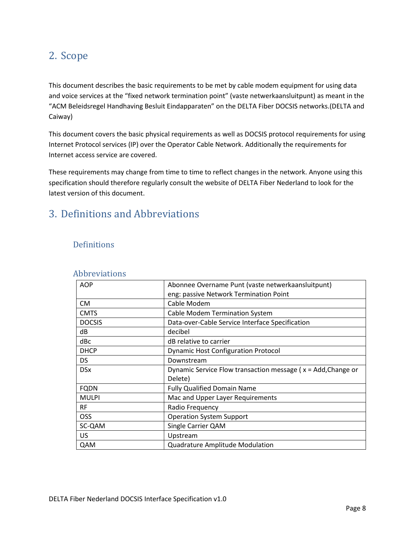### <span id="page-7-0"></span>2. Scope

This document describes the basic requirements to be met by cable modem equipment for using data and voice services at the "fixed network termination point" (vaste netwerkaansluitpunt) as meant in the "ACM Beleidsregel Handhaving Besluit Eindapparaten" on the DELTA Fiber DOCSIS networks.(DELTA and Caiway)

This document covers the basic physical requirements as well as DOCSIS protocol requirements for using Internet Protocol services (IP) over the Operator Cable Network. Additionally the requirements for Internet access service are covered.

These requirements may change from time to time to reflect changes in the network. Anyone using this specification should therefore regularly consult the website of DELTA Fiber Nederland to look for the latest version of this document.

### <span id="page-7-1"></span>3. Definitions and Abbreviations

#### <span id="page-7-2"></span>**Definitions**

| <b>AOP</b>    | Abonnee Overname Punt (vaste netwerkaansluitpunt)               |
|---------------|-----------------------------------------------------------------|
|               | eng: passive Network Termination Point                          |
| CM.           | Cable Modem                                                     |
| <b>CMTS</b>   | <b>Cable Modem Termination System</b>                           |
| <b>DOCSIS</b> | Data-over-Cable Service Interface Specification                 |
| dB            | decibel                                                         |
| dBc           | dB relative to carrier                                          |
| <b>DHCP</b>   | <b>Dynamic Host Configuration Protocol</b>                      |
| DS.           | Downstream                                                      |
| <b>DSx</b>    | Dynamic Service Flow transaction message ( $x = Add, Change$ or |
|               | Delete)                                                         |
| <b>FQDN</b>   | <b>Fully Qualified Domain Name</b>                              |
| <b>MULPI</b>  | Mac and Upper Layer Requirements                                |
| <b>RF</b>     | Radio Frequency                                                 |
| <b>OSS</b>    | <b>Operation System Support</b>                                 |
| SC-QAM        | Single Carrier QAM                                              |
| US.           | Upstream                                                        |
| QAM           | <b>Quadrature Amplitude Modulation</b>                          |

#### <span id="page-7-3"></span>Abbreviations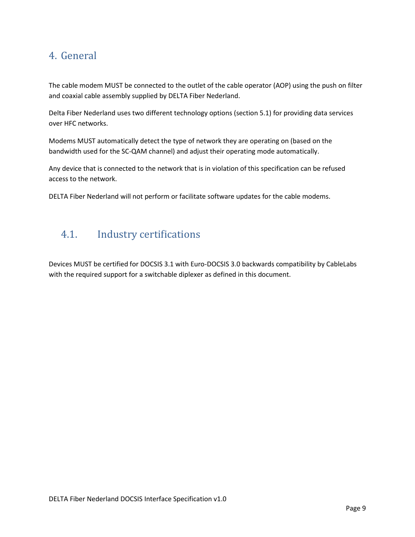### <span id="page-8-0"></span>4. General

The cable modem MUST be connected to the outlet of the cable operator (AOP) using the push on filter and coaxial cable assembly supplied by DELTA Fiber Nederland.

Delta Fiber Nederland uses two different technology options (section 5.1) for providing data services over HFC networks.

Modems MUST automatically detect the type of network they are operating on (based on the bandwidth used for the SC-QAM channel) and adjust their operating mode automatically.

Any device that is connected to the network that is in violation of this specification can be refused access to the network.

DELTA Fiber Nederland will not perform or facilitate software updates for the cable modems.

### <span id="page-8-1"></span>4.1. Industry certifications

Devices MUST be certified for DOCSIS 3.1 with Euro-DOCSIS 3.0 backwards compatibility by CableLabs with the required support for a switchable diplexer as defined in this document.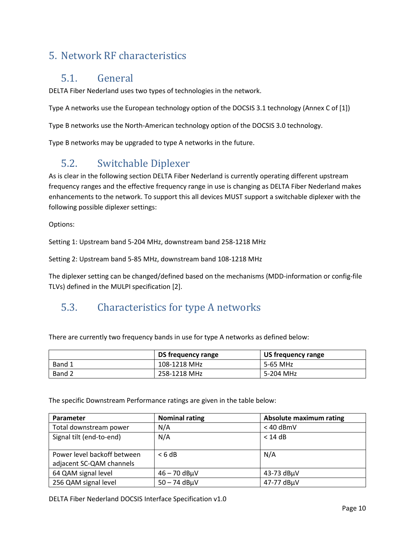### <span id="page-9-1"></span><span id="page-9-0"></span>5. Network RF characteristics

#### 5.1. General

DELTA Fiber Nederland uses two types of technologies in the network.

Type A networks use the European technology option of the DOCSIS 3.1 technology (Annex C of [1])

Type B networks use the North-American technology option of the DOCSIS 3.0 technology.

Type B networks may be upgraded to type A networks in the future.

### <span id="page-9-2"></span>5.2. Switchable Diplexer

As is clear in the following section DELTA Fiber Nederland is currently operating different upstream frequency ranges and the effective frequency range in use is changing as DELTA Fiber Nederland makes enhancements to the network. To support this all devices MUST support a switchable diplexer with the following possible diplexer settings:

Options:

Setting 1: Upstream band 5-204 MHz, downstream band 258-1218 MHz

Setting 2: Upstream band 5-85 MHz, downstream band 108-1218 MHz

The diplexer setting can be changed/defined based on the mechanisms (MDD-information or config-file TLVs) defined in the MULPI specification [2].

### <span id="page-9-3"></span>5.3. Characteristics for type A networks

There are currently two frequency bands in use for type A networks as defined below:

|        | DS frequency range | US frequency range |
|--------|--------------------|--------------------|
| Band 1 | 108-1218 MHz       | 5-65 MHz           |
| Band 2 | 258-1218 MHz       | 5-204 MHz          |

The specific Downstream Performance ratings are given in the table below:

| Parameter                   | <b>Nominal rating</b> | <b>Absolute maximum rating</b> |  |  |  |
|-----------------------------|-----------------------|--------------------------------|--|--|--|
| Total downstream power      | N/A                   | $< 40$ dBmV                    |  |  |  |
| Signal tilt (end-to-end)    | N/A                   | $<$ 14 dB                      |  |  |  |
|                             |                       |                                |  |  |  |
| Power level backoff between | < 6 dB                | N/A                            |  |  |  |
| adjacent SC-QAM channels    |                       |                                |  |  |  |
| 64 QAM signal level         | $46 - 70$ dB $\mu$ V  | 43-73 dBµV                     |  |  |  |
| 256 QAM signal level        | $50 - 74$ dB $\mu$ V  | 47-77 dBuV                     |  |  |  |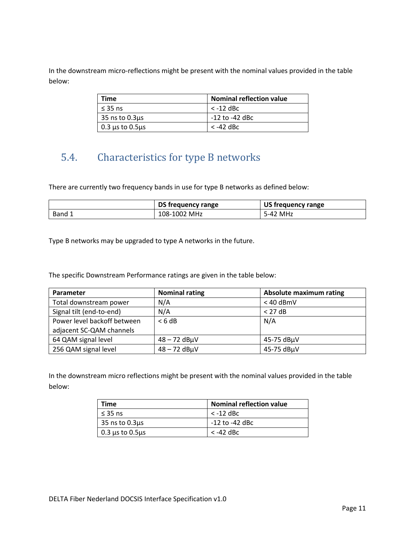In the downstream micro-reflections might be present with the nominal values provided in the table below:

| <b>Time</b>                  | <b>Nominal reflection value</b> |
|------------------------------|---------------------------------|
| $\leq$ 35 ns                 | $<$ -12 dBc                     |
| $\vert$ 35 ns to 0.3 $\mu$ s | -12 to -42 dBc                  |
| 0.3 $\mu$ s to 0.5 $\mu$ s   | $<$ -42 dBc                     |

### <span id="page-10-0"></span>5.4. Characteristics for type B networks

There are currently two frequency bands in use for type B networks as defined below:

|        | DS frequency range | US frequency range |  |  |
|--------|--------------------|--------------------|--|--|
| Band í | 108-1002 MHz       | MHz<br>5-42        |  |  |

Type B networks may be upgraded to type A networks in the future.

The specific Downstream Performance ratings are given in the table below:

| Parameter                   | <b>Nominal rating</b> | <b>Absolute maximum rating</b> |
|-----------------------------|-----------------------|--------------------------------|
| Total downstream power      | N/A                   | $< 40$ dBmV                    |
| Signal tilt (end-to-end)    | N/A                   | $<$ 27 dB                      |
| Power level backoff between | < 6 dB                | N/A                            |
| adjacent SC-QAM channels    |                       |                                |
| 64 QAM signal level         | $48 - 72$ dB $\mu$ V  | 45-75 dBµV                     |
| 256 QAM signal level        | $48 - 72$ dB $\mu$ V  | 45-75 dBµV                     |

In the downstream micro reflections might be present with the nominal values provided in the table below:

| Time                       | <b>Nominal reflection value</b> |
|----------------------------|---------------------------------|
| $\leq$ 35 ns               | $<$ -12 dBc                     |
| 35 ns to $0.3\mu s$        | -12 to -42 dBc                  |
| $0.3 \mu s$ to $0.5 \mu s$ | $<$ -42 dBc                     |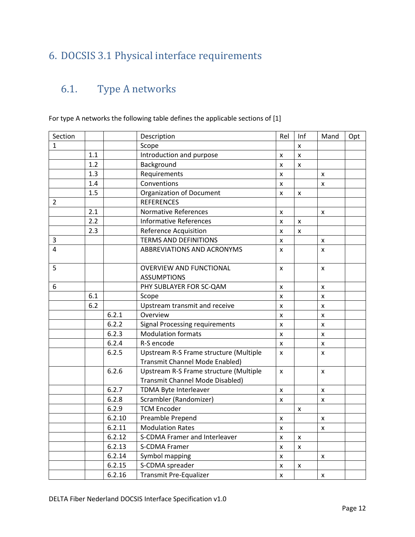### <span id="page-11-0"></span>6. DOCSIS 3.1 Physical interface requirements

## <span id="page-11-1"></span>6.1. Type A networks

| Section        |     |        | Description                                                               | Rel                | Inf | Mand | Opt |
|----------------|-----|--------|---------------------------------------------------------------------------|--------------------|-----|------|-----|
| 1              |     |        | Scope                                                                     |                    | X   |      |     |
|                | 1.1 |        | Introduction and purpose                                                  | x                  | X   |      |     |
|                | 1.2 |        | Background                                                                | x                  | X   |      |     |
|                | 1.3 |        | Requirements                                                              | x                  |     | X    |     |
|                | 1.4 |        | Conventions                                                               | x                  |     | X    |     |
|                | 1.5 |        | <b>Organization of Document</b>                                           | x                  | X   |      |     |
| 2              |     |        | <b>REFERENCES</b>                                                         |                    |     |      |     |
|                | 2.1 |        | <b>Normative References</b>                                               | X                  |     | X    |     |
|                | 2.2 |        | <b>Informative References</b>                                             | $\pmb{\mathsf{X}}$ | X   |      |     |
|                | 2.3 |        | <b>Reference Acquisition</b>                                              | X                  | X   |      |     |
| 3              |     |        | <b>TERMS AND DEFINITIONS</b>                                              | x                  |     | X    |     |
| $\overline{4}$ |     |        | <b>ABBREVIATIONS AND ACRONYMS</b>                                         | x                  |     | X    |     |
| 5              |     |        | <b>OVERVIEW AND FUNCTIONAL</b><br><b>ASSUMPTIONS</b>                      | x                  |     | X    |     |
| 6              |     |        | PHY SUBLAYER FOR SC-QAM                                                   | x                  |     | X    |     |
|                | 6.1 |        | Scope                                                                     | x                  |     | X    |     |
|                | 6.2 |        | Upstream transmit and receive                                             | X                  |     | X    |     |
|                |     | 6.2.1  | Overview                                                                  | x                  |     | X    |     |
|                |     | 6.2.2  | <b>Signal Processing requirements</b>                                     | x                  |     | X    |     |
|                |     | 6.2.3  | <b>Modulation formats</b>                                                 | X                  |     | X    |     |
|                |     | 6.2.4  | R-S encode                                                                | X                  |     | X    |     |
|                |     | 6.2.5  | Upstream R-S Frame structure (Multiple<br>Transmit Channel Mode Enabled)  | X                  |     | X    |     |
|                |     | 6.2.6  | Upstream R-S Frame structure (Multiple<br>Transmit Channel Mode Disabled) | x                  |     | X    |     |
|                |     | 6.2.7  | TDMA Byte Interleaver                                                     | x                  |     | x    |     |
|                |     | 6.2.8  | Scrambler (Randomizer)                                                    | X                  |     | X    |     |
|                |     | 6.2.9  | <b>TCM Encoder</b>                                                        |                    | X   |      |     |
|                |     | 6.2.10 | Preamble Prepend                                                          | X                  |     | X    |     |
|                |     | 6.2.11 | <b>Modulation Rates</b>                                                   | x                  |     | X    |     |
|                |     | 6.2.12 | S-CDMA Framer and Interleaver                                             | X                  | X   |      |     |
|                |     | 6.2.13 | <b>S-CDMA Framer</b>                                                      | X                  | X   |      |     |
|                |     | 6.2.14 | Symbol mapping                                                            | x                  |     | X    |     |
|                |     | 6.2.15 | S-CDMA spreader                                                           | $\pmb{\mathsf{x}}$ | X   |      |     |
|                |     | 6.2.16 | Transmit Pre-Equalizer                                                    | $\pmb{\mathsf{x}}$ |     | X    |     |

For type A networks the following table defines the applicable sections of [1]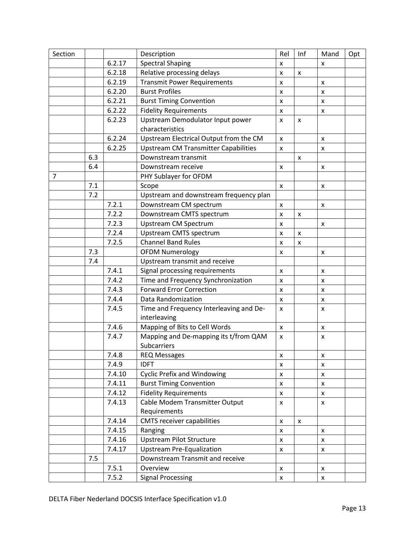| Section        |     |        | Description                                             | Rel                | Inf            | Mand               | Opt |
|----------------|-----|--------|---------------------------------------------------------|--------------------|----------------|--------------------|-----|
|                |     | 6.2.17 | <b>Spectral Shaping</b>                                 | x                  |                | x                  |     |
|                |     | 6.2.18 | Relative processing delays                              | x                  | $\pmb{\times}$ |                    |     |
|                |     | 6.2.19 | <b>Transmit Power Requirements</b>                      | x                  |                | $\pmb{\times}$     |     |
|                |     | 6.2.20 | <b>Burst Profiles</b>                                   | x                  |                | x                  |     |
|                |     | 6.2.21 | <b>Burst Timing Convention</b>                          | x                  |                | X                  |     |
|                |     | 6.2.22 | <b>Fidelity Requirements</b>                            | x                  |                | X                  |     |
|                |     | 6.2.23 | Upstream Demodulator Input power                        | x                  | X              |                    |     |
|                |     |        | characteristics                                         |                    |                |                    |     |
|                |     | 6.2.24 | Upstream Electrical Output from the CM                  | x                  |                | X                  |     |
|                |     | 6.2.25 | <b>Upstream CM Transmitter Capabilities</b>             | X                  |                | x                  |     |
|                | 6.3 |        | Downstream transmit                                     |                    | X              |                    |     |
|                | 6.4 |        | Downstream receive                                      | x                  |                | X                  |     |
| $\overline{7}$ |     |        | PHY Sublayer for OFDM                                   |                    |                |                    |     |
|                | 7.1 |        | Scope                                                   | x                  |                | X                  |     |
|                | 7.2 |        | Upstream and downstream frequency plan                  |                    |                |                    |     |
|                |     | 7.2.1  | Downstream CM spectrum                                  | x                  |                | $\pmb{\mathsf{x}}$ |     |
|                |     | 7.2.2  | Downstream CMTS spectrum                                | x                  | X              |                    |     |
|                |     | 7.2.3  | <b>Upstream CM Spectrum</b>                             | x                  |                | X                  |     |
|                |     | 7.2.4  | Upstream CMTS spectrum                                  | x                  | X              |                    |     |
|                |     | 7.2.5  | <b>Channel Band Rules</b>                               | x                  | X              |                    |     |
|                | 7.3 |        | <b>OFDM Numerology</b>                                  | X                  |                | X                  |     |
|                | 7.4 |        | Upstream transmit and receive                           |                    |                |                    |     |
|                |     | 7.4.1  | Signal processing requirements                          | x                  |                | X                  |     |
|                |     | 7.4.2  | Time and Frequency Synchronization                      | x                  |                | X                  |     |
|                |     | 7.4.3  | <b>Forward Error Correction</b>                         | X                  |                | x                  |     |
|                |     | 7.4.4  | Data Randomization                                      | x                  |                | x                  |     |
|                |     | 7.4.5  | Time and Frequency Interleaving and De-<br>interleaving | X                  |                | X                  |     |
|                |     | 7.4.6  | Mapping of Bits to Cell Words                           | X                  |                | X                  |     |
|                |     | 7.4.7  | Mapping and De-mapping its t/from QAM<br>Subcarriers    | x                  |                | $\pmb{\times}$     |     |
|                |     | 7.4.8  | <b>REQ Messages</b>                                     | x                  |                | X                  |     |
|                |     | 7.4.9  | <b>IDFT</b>                                             | x                  |                | X                  |     |
|                |     | 7.4.10 | <b>Cyclic Prefix and Windowing</b>                      | x                  |                | X                  |     |
|                |     | 7.4.11 | <b>Burst Timing Convention</b>                          | X                  |                | X                  |     |
|                |     | 7.4.12 | <b>Fidelity Requirements</b>                            | X                  |                | X                  |     |
|                |     | 7.4.13 | Cable Modem Transmitter Output                          | X                  |                | X                  |     |
|                |     |        | Requirements                                            |                    |                |                    |     |
|                |     | 7.4.14 | <b>CMTS receiver capabilities</b>                       | $\pmb{\mathsf{x}}$ | X              |                    |     |
|                |     | 7.4.15 | Ranging                                                 | x                  |                | X                  |     |
|                |     | 7.4.16 | <b>Upstream Pilot Structure</b>                         | X                  |                | X                  |     |
|                |     | 7.4.17 | <b>Upstream Pre-Equalization</b>                        | X                  |                | X                  |     |
|                | 7.5 |        | Downstream Transmit and receive                         |                    |                |                    |     |
|                |     | 7.5.1  | Overview                                                | X                  |                | X                  |     |
|                |     | 7.5.2  | <b>Signal Processing</b>                                | X                  |                | X                  |     |
|                |     |        |                                                         |                    |                |                    |     |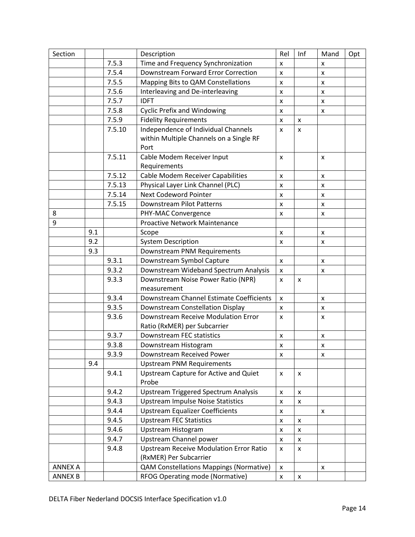| Section        |     |        | Description                                    | Rel                | Inf | Mand               | Opt |
|----------------|-----|--------|------------------------------------------------|--------------------|-----|--------------------|-----|
|                |     | 7.5.3  | Time and Frequency Synchronization             | X                  |     | x                  |     |
|                |     | 7.5.4  | Downstream Forward Error Correction            | x                  |     | X                  |     |
|                |     | 7.5.5  | Mapping Bits to QAM Constellations             | X                  |     | X                  |     |
|                |     | 7.5.6  | Interleaving and De-interleaving               | x                  |     | x                  |     |
|                |     | 7.5.7  | <b>IDFT</b>                                    | x                  |     | $\pmb{\mathsf{X}}$ |     |
|                |     | 7.5.8  | <b>Cyclic Prefix and Windowing</b>             | X                  |     | X                  |     |
|                |     | 7.5.9  | <b>Fidelity Requirements</b>                   | X                  | X   |                    |     |
|                |     | 7.5.10 | Independence of Individual Channels            | $\mathsf{x}$       | X   |                    |     |
|                |     |        | within Multiple Channels on a Single RF        |                    |     |                    |     |
|                |     |        | Port                                           |                    |     |                    |     |
|                |     | 7.5.11 | Cable Modem Receiver Input                     | X                  |     | X                  |     |
|                |     |        | Requirements                                   |                    |     |                    |     |
|                |     | 7.5.12 | <b>Cable Modem Receiver Capabilities</b>       | x                  |     | X                  |     |
|                |     | 7.5.13 | Physical Layer Link Channel (PLC)              | x                  |     | x                  |     |
|                |     | 7.5.14 | Next Codeword Pointer                          | X                  |     | X                  |     |
|                |     | 7.5.15 | Downstream Pilot Patterns                      | X                  |     | X                  |     |
| 8              |     |        | PHY-MAC Convergence                            | x                  |     | x                  |     |
| 9              |     |        | Proactive Network Maintenance                  |                    |     |                    |     |
|                | 9.1 |        | Scope                                          | x                  |     | X                  |     |
|                | 9.2 |        | <b>System Description</b>                      | x                  |     | x                  |     |
|                | 9.3 |        | Downstream PNM Requirements                    |                    |     |                    |     |
|                |     | 9.3.1  | Downstream Symbol Capture                      | X                  |     | X                  |     |
|                |     | 9.3.2  | Downstream Wideband Spectrum Analysis          | X                  |     | x                  |     |
|                |     | 9.3.3  | Downstream Noise Power Ratio (NPR)             | $\mathsf{x}$       | x   |                    |     |
|                |     |        | measurement                                    |                    |     |                    |     |
|                |     | 9.3.4  | Downstream Channel Estimate Coefficients       | X                  |     | X                  |     |
|                |     | 9.3.5  | Downstream Constellation Display               | x                  |     | X                  |     |
|                |     | 9.3.6  | Downstream Receive Modulation Error            | X                  |     | X                  |     |
|                |     |        | Ratio (RxMER) per Subcarrier                   |                    |     |                    |     |
|                |     | 9.3.7  | Downstream FEC statistics                      | X                  |     | X                  |     |
|                |     | 9.3.8  | Downstream Histogram                           | $\pmb{\mathsf{x}}$ |     | X                  |     |
|                |     | 9.3.9  | Downstream Received Power                      | X                  |     | x                  |     |
|                | 9.4 |        | <b>Upstream PNM Requirements</b>               |                    |     |                    |     |
|                |     | 9.4.1  | Upstream Capture for Active and Quiet          | X                  | X   |                    |     |
|                |     |        | Probe                                          |                    |     |                    |     |
|                |     | 9.4.2  | <b>Upstream Triggered Spectrum Analysis</b>    | x                  | X   |                    |     |
|                |     | 9.4.3  | <b>Upstream Impulse Noise Statistics</b>       | x                  | x   |                    |     |
|                |     | 9.4.4  | <b>Upstream Equalizer Coefficients</b>         | x                  |     | x                  |     |
|                |     | 9.4.5  | <b>Upstream FEC Statistics</b>                 | X                  | X   |                    |     |
|                |     | 9.4.6  | Upstream Histogram                             | x                  | X   |                    |     |
|                |     | 9.4.7  | Upstream Channel power                         | x                  | x   |                    |     |
|                |     | 9.4.8  | <b>Upstream Receive Modulation Error Ratio</b> | x                  | x   |                    |     |
|                |     |        | (RxMER) Per Subcarrier                         |                    |     |                    |     |
| <b>ANNEX A</b> |     |        | <b>QAM Constellations Mappings (Normative)</b> | $\mathsf{x}$       |     | X                  |     |
| <b>ANNEX B</b> |     |        | RFOG Operating mode (Normative)                | X                  | X   |                    |     |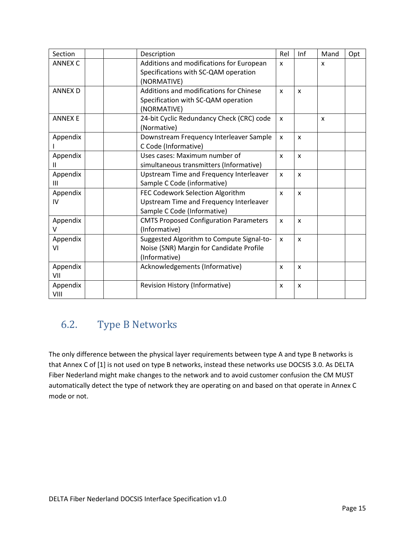| Section        | Description                                   | Rel          | Inf          | Mand         | Opt |
|----------------|-----------------------------------------------|--------------|--------------|--------------|-----|
| <b>ANNEX C</b> | Additions and modifications for European      | X            |              | X            |     |
|                | Specifications with SC-QAM operation          |              |              |              |     |
|                | (NORMATIVE)                                   |              |              |              |     |
| <b>ANNEX D</b> | Additions and modifications for Chinese       | $\mathbf{x}$ | $\mathsf{x}$ |              |     |
|                | Specification with SC-QAM operation           |              |              |              |     |
|                | (NORMATIVE)                                   |              |              |              |     |
| <b>ANNEX E</b> | 24-bit Cyclic Redundancy Check (CRC) code     | $\mathsf{x}$ |              | $\mathsf{x}$ |     |
|                | (Normative)                                   |              |              |              |     |
| Appendix       | Downstream Frequency Interleaver Sample       | $\mathsf{x}$ | $\mathsf{x}$ |              |     |
|                | C Code (Informative)                          |              |              |              |     |
| Appendix       | Uses cases: Maximum number of                 | X            | $\mathsf{x}$ |              |     |
|                | simultaneous transmitters (Informative)       |              |              |              |     |
| Appendix       | Upstream Time and Frequency Interleaver       | X            | X            |              |     |
| III            | Sample C Code (informative)                   |              |              |              |     |
| Appendix       | FEC Codework Selection Algorithm              | $\mathbf{x}$ | $\mathsf{x}$ |              |     |
| IV             | Upstream Time and Frequency Interleaver       |              |              |              |     |
|                | Sample C Code (Informative)                   |              |              |              |     |
| Appendix       | <b>CMTS Proposed Configuration Parameters</b> | X            | $\mathsf{x}$ |              |     |
| $\vee$         | (Informative)                                 |              |              |              |     |
| Appendix       | Suggested Algorithm to Compute Signal-to-     | $\mathsf{x}$ | $\mathsf{x}$ |              |     |
| VI             | Noise (SNR) Margin for Candidate Profile      |              |              |              |     |
|                | (Informative)                                 |              |              |              |     |
| Appendix       | Acknowledgements (Informative)                | X            | X            |              |     |
| VII            |                                               |              |              |              |     |
| Appendix       | <b>Revision History (Informative)</b>         | $\mathsf{x}$ | $\mathsf{x}$ |              |     |
| VIII           |                                               |              |              |              |     |

### <span id="page-14-0"></span>6.2. Type B Networks

The only difference between the physical layer requirements between type A and type B networks is that Annex C of [1] is not used on type B networks, instead these networks use DOCSIS 3.0. As DELTA Fiber Nederland might make changes to the network and to avoid customer confusion the CM MUST automatically detect the type of network they are operating on and based on that operate in Annex C mode or not.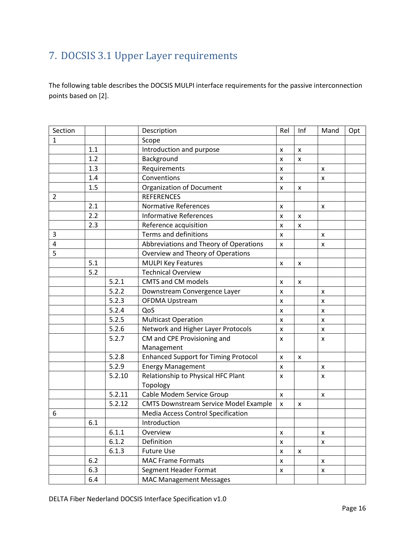## <span id="page-15-0"></span>7. DOCSIS 3.1 Upper Layer requirements

The following table describes the DOCSIS MULPI interface requirements for the passive interconnection points based on [2].

| Section        |     |        | Description                                  | Rel                | Inf                | Mand               | Opt |
|----------------|-----|--------|----------------------------------------------|--------------------|--------------------|--------------------|-----|
| 1              |     |        | Scope                                        |                    |                    |                    |     |
|                | 1.1 |        | Introduction and purpose                     | X                  | $\pmb{\mathsf{x}}$ |                    |     |
|                | 1.2 |        | Background                                   | X                  | $\mathsf{x}$       |                    |     |
|                | 1.3 |        | Requirements                                 | $\pmb{\times}$     |                    | x                  |     |
|                | 1.4 |        | Conventions                                  | X                  |                    | $\pmb{\times}$     |     |
|                | 1.5 |        | <b>Organization of Document</b>              | $\mathsf{x}$       | $\pmb{\mathsf{x}}$ |                    |     |
| $\overline{2}$ |     |        | <b>REFERENCES</b>                            |                    |                    |                    |     |
|                | 2.1 |        | <b>Normative References</b>                  | x                  |                    | x                  |     |
|                | 2.2 |        | <b>Informative References</b>                | X                  | $\pmb{\mathsf{x}}$ |                    |     |
|                | 2.3 |        | Reference acquisition                        | $\pmb{\mathsf{x}}$ | $\pmb{\times}$     |                    |     |
| 3              |     |        | Terms and definitions                        | X                  |                    | $\pmb{\times}$     |     |
| 4              |     |        | Abbreviations and Theory of Operations       | X                  |                    | X                  |     |
| 5              |     |        | Overview and Theory of Operations            |                    |                    |                    |     |
|                | 5.1 |        | <b>MULPI Key Features</b>                    | X                  | $\pmb{\mathsf{x}}$ |                    |     |
|                | 5.2 |        | <b>Technical Overview</b>                    |                    |                    |                    |     |
|                |     | 5.2.1  | <b>CMTS and CM models</b>                    | X                  | $\pmb{\times}$     |                    |     |
|                |     | 5.2.2  | Downstream Convergence Layer                 | X                  |                    | $\pmb{\times}$     |     |
|                |     | 5.2.3  | <b>OFDMA Upstream</b>                        | X                  |                    | $\pmb{\times}$     |     |
|                |     | 5.2.4  | QoS                                          | X                  |                    | X                  |     |
|                |     | 5.2.5  | <b>Multicast Operation</b>                   | $\mathsf{x}$       |                    | $\pmb{\times}$     |     |
|                |     | 5.2.6  | Network and Higher Layer Protocols           | $\pmb{\mathsf{x}}$ |                    | X                  |     |
|                |     | 5.2.7  | CM and CPE Provisioning and                  | X                  |                    | x                  |     |
|                |     |        | Management                                   |                    |                    |                    |     |
|                |     | 5.2.8  | <b>Enhanced Support for Timing Protocol</b>  | X                  | $\pmb{\mathsf{x}}$ |                    |     |
|                |     | 5.2.9  | <b>Energy Management</b>                     | X                  |                    | x                  |     |
|                |     | 5.2.10 | Relationship to Physical HFC Plant           | X                  |                    | x                  |     |
|                |     |        | Topology                                     |                    |                    |                    |     |
|                |     | 5.2.11 | Cable Modem Service Group                    | X                  |                    | X                  |     |
|                |     | 5.2.12 | <b>CMTS Downstream Service Model Example</b> | $\mathsf{x}$       | $\pmb{\times}$     |                    |     |
| 6              |     |        | <b>Media Access Control Specification</b>    |                    |                    |                    |     |
|                | 6.1 |        | Introduction                                 |                    |                    |                    |     |
|                |     | 6.1.1  | Overview                                     | X                  |                    | X                  |     |
|                |     | 6.1.2  | Definition                                   | $\pmb{\mathsf{x}}$ |                    | $\pmb{\mathsf{x}}$ |     |
|                |     | 6.1.3  | <b>Future Use</b>                            | $\pmb{\mathsf{x}}$ | $\mathsf{x}$       |                    |     |
|                | 6.2 |        | <b>MAC Frame Formats</b>                     | X                  |                    | x                  |     |
|                | 6.3 |        | Segment Header Format                        | $\pmb{\mathsf{x}}$ |                    | $\pmb{\mathsf{x}}$ |     |
|                | 6.4 |        | <b>MAC Management Messages</b>               |                    |                    |                    |     |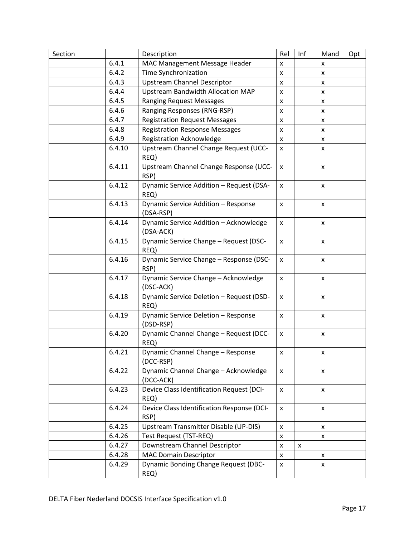| Section |        | Description                                         | Rel                | Inf                | Mand               | Opt |
|---------|--------|-----------------------------------------------------|--------------------|--------------------|--------------------|-----|
|         | 6.4.1  | MAC Management Message Header                       | x                  |                    | x                  |     |
|         | 6.4.2  | Time Synchronization                                | X                  |                    | X                  |     |
|         | 6.4.3  | <b>Upstream Channel Descriptor</b>                  | X                  |                    | X                  |     |
|         | 6.4.4  | <b>Upstream Bandwidth Allocation MAP</b>            | X                  |                    | x                  |     |
|         | 6.4.5  | <b>Ranging Request Messages</b>                     | X                  |                    | x                  |     |
|         | 6.4.6  | Ranging Responses (RNG-RSP)                         | X                  |                    | x                  |     |
|         | 6.4.7  | <b>Registration Request Messages</b>                | x                  |                    | x                  |     |
|         | 6.4.8  | <b>Registration Response Messages</b>               | $\mathsf{x}$       |                    | x                  |     |
|         | 6.4.9  | <b>Registration Acknowledge</b>                     | X                  |                    | x                  |     |
|         | 6.4.10 | Upstream Channel Change Request (UCC-<br>REQ)       | x                  |                    | x                  |     |
|         | 6.4.11 | Upstream Channel Change Response (UCC-<br>RSP)      | X                  |                    | $\mathsf{x}$       |     |
|         | 6.4.12 | Dynamic Service Addition - Request (DSA-<br>REQ)    | X                  |                    | x                  |     |
|         | 6.4.13 | Dynamic Service Addition - Response<br>(DSA-RSP)    | X                  |                    | X                  |     |
|         | 6.4.14 | Dynamic Service Addition - Acknowledge<br>(DSA-ACK) | X                  |                    | X                  |     |
|         | 6.4.15 | Dynamic Service Change - Request (DSC-<br>REQ)      | X                  |                    | X                  |     |
|         | 6.4.16 | Dynamic Service Change - Response (DSC-<br>RSP)     | X                  |                    | X                  |     |
|         | 6.4.17 | Dynamic Service Change - Acknowledge<br>(DSC-ACK)   | X                  |                    | X                  |     |
|         | 6.4.18 | Dynamic Service Deletion - Request (DSD-<br>REQ)    | X                  |                    | X                  |     |
|         | 6.4.19 | Dynamic Service Deletion - Response<br>(DSD-RSP)    | X                  |                    | X                  |     |
|         | 6.4.20 | Dynamic Channel Change - Request (DCC-<br>REQ)      | x                  |                    | $\pmb{\mathsf{x}}$ |     |
|         | 6.4.21 | Dynamic Channel Change - Response<br>(DCC-RSP)      | $\pmb{\mathsf{X}}$ |                    | $\pmb{\mathsf{X}}$ |     |
|         | 6.4.22 | Dynamic Channel Change - Acknowledge<br>(DCC-ACK)   | X                  |                    | $\pmb{\mathsf{x}}$ |     |
|         | 6.4.23 | Device Class Identification Request (DCI-<br>REQ)   | X                  |                    | $\pmb{\times}$     |     |
|         | 6.4.24 | Device Class Identification Response (DCI-<br>RSP)  | X                  |                    | X                  |     |
|         | 6.4.25 | Upstream Transmitter Disable (UP-DIS)               | X                  |                    | X                  |     |
|         | 6.4.26 | Test Request (TST-REQ)                              | X                  |                    | x                  |     |
|         | 6.4.27 | Downstream Channel Descriptor                       | X                  | $\pmb{\mathsf{x}}$ |                    |     |
|         | 6.4.28 | <b>MAC Domain Descriptor</b>                        | $\mathsf{x}$       |                    | X                  |     |
|         | 6.4.29 | <b>Dynamic Bonding Change Request (DBC-</b><br>REQ) | X                  |                    | X                  |     |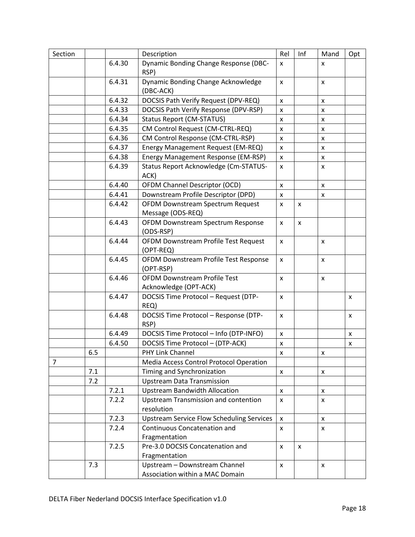| Section        |     |        | Description                                      | Rel                | Inf            | Mand               | Opt |
|----------------|-----|--------|--------------------------------------------------|--------------------|----------------|--------------------|-----|
|                |     | 6.4.30 | Dynamic Bonding Change Response (DBC-            | X                  |                | X                  |     |
|                |     |        | RSP)                                             |                    |                |                    |     |
|                |     | 6.4.31 | Dynamic Bonding Change Acknowledge               | X                  |                | X                  |     |
|                |     |        | (DBC-ACK)                                        |                    |                |                    |     |
|                |     | 6.4.32 | DOCSIS Path Verify Request (DPV-REQ)             | $\pmb{\times}$     |                | x                  |     |
|                |     | 6.4.33 | DOCSIS Path Verify Response (DPV-RSP)            | x                  |                | X                  |     |
|                |     | 6.4.34 | <b>Status Report (CM-STATUS)</b>                 | x                  |                | x                  |     |
|                |     | 6.4.35 | CM Control Request (CM-CTRL-REQ)                 | $\pmb{\times}$     |                | x                  |     |
|                |     | 6.4.36 | CM Control Response (CM-CTRL-RSP)                | x                  |                | x                  |     |
|                |     | 6.4.37 | Energy Management Request (EM-REQ)               | X                  |                | X                  |     |
|                |     | 6.4.38 | Energy Management Response (EM-RSP)              | $\pmb{\times}$     |                | X                  |     |
|                |     | 6.4.39 | Status Report Acknowledge (Cm-STATUS-            | x                  |                | x                  |     |
|                |     |        | ACK)                                             |                    |                |                    |     |
|                |     | 6.4.40 | OFDM Channel Descriptor (OCD)                    | x                  |                | x                  |     |
|                |     | 6.4.41 | Downstream Profile Descriptor (DPD)              | $\mathsf{x}$       |                | $\pmb{\times}$     |     |
|                |     | 6.4.42 | OFDM Downstream Spectrum Request                 | X                  | X              |                    |     |
|                |     |        | Message (ODS-REQ)                                |                    |                |                    |     |
|                |     | 6.4.43 | OFDM Downstream Spectrum Response                | x                  | $\pmb{\times}$ |                    |     |
|                |     |        | (ODS-RSP)                                        |                    |                |                    |     |
|                |     | 6.4.44 | OFDM Downstream Profile Test Request             | X                  |                | X                  |     |
|                |     |        | (OPT-REQ)                                        |                    |                |                    |     |
|                |     | 6.4.45 | OFDM Downstream Profile Test Response            | x                  |                | X                  |     |
|                |     |        | (OPT-RSP)                                        |                    |                |                    |     |
|                |     | 6.4.46 | <b>OFDM Downstream Profile Test</b>              | X                  |                | X                  |     |
|                |     |        | Acknowledge (OPT-ACK)                            |                    |                |                    |     |
|                |     | 6.4.47 | DOCSIS Time Protocol - Request (DTP-             | x                  |                |                    | x   |
|                |     |        | REQ)                                             |                    |                |                    |     |
|                |     | 6.4.48 | DOCSIS Time Protocol - Response (DTP-            | X                  |                |                    | X   |
|                |     |        | RSP)                                             |                    |                |                    |     |
|                |     | 6.4.49 | DOCSIS Time Protocol - Info (DTP-INFO)           | x                  |                |                    | x   |
|                |     | 6.4.50 | DOCSIS Time Protocol - (DTP-ACK)                 | X                  |                |                    | x   |
|                | 6.5 |        | PHY Link Channel                                 | $\pmb{\mathsf{x}}$ |                | X                  |     |
| $\overline{7}$ |     |        | Media Access Control Protocol Operation          |                    |                |                    |     |
|                | 7.1 |        | Timing and Synchronization                       | X                  |                | X                  |     |
|                | 7.2 |        | <b>Upstream Data Transmission</b>                |                    |                |                    |     |
|                |     | 7.2.1  | <b>Upstream Bandwidth Allocation</b>             | X                  |                | $\pmb{\mathsf{x}}$ |     |
|                |     | 7.2.2  | <b>Upstream Transmission and contention</b>      | x                  |                | x                  |     |
|                |     |        | resolution                                       |                    |                |                    |     |
|                |     | 7.2.3  | <b>Upstream Service Flow Scheduling Services</b> | X                  |                | X                  |     |
|                |     | 7.2.4  | <b>Continuous Concatenation and</b>              | X                  |                | X                  |     |
|                |     |        | Fragmentation                                    |                    |                |                    |     |
|                |     | 7.2.5  | Pre-3.0 DOCSIS Concatenation and                 | X                  | $\pmb{\times}$ |                    |     |
|                |     |        | Fragmentation                                    |                    |                |                    |     |
|                | 7.3 |        | Upstream - Downstream Channel                    | x                  |                | X                  |     |
|                |     |        | Association within a MAC Domain                  |                    |                |                    |     |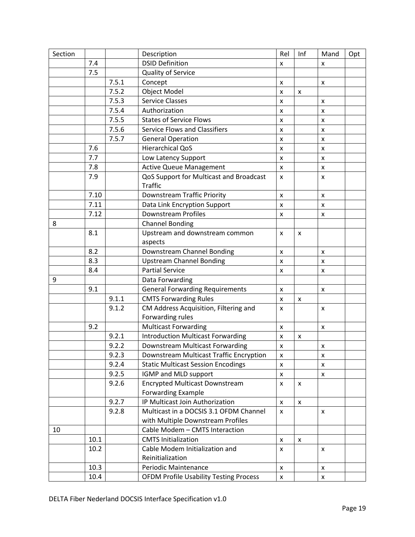| Section |      |       | Description                                   | Rel                | Inf | Mand | Opt |
|---------|------|-------|-----------------------------------------------|--------------------|-----|------|-----|
|         | 7.4  |       | <b>DSID Definition</b>                        | X                  |     | x    |     |
|         | 7.5  |       | Quality of Service                            |                    |     |      |     |
|         |      | 7.5.1 | Concept                                       | x                  |     | x    |     |
|         |      | 7.5.2 | Object Model                                  | X                  | X   |      |     |
|         |      | 7.5.3 | <b>Service Classes</b>                        | X                  |     | x    |     |
|         |      | 7.5.4 | Authorization                                 | X                  |     | X    |     |
|         |      | 7.5.5 | <b>States of Service Flows</b>                | x                  |     | x    |     |
|         |      | 7.5.6 | <b>Service Flows and Classifiers</b>          | X                  |     | X    |     |
|         |      | 7.5.7 | <b>General Operation</b>                      | X                  |     | X    |     |
|         | 7.6  |       | <b>Hierarchical QoS</b>                       | x                  |     | x    |     |
|         | 7.7  |       | Low Latency Support                           | $\mathsf{x}$       |     | X    |     |
|         | 7.8  |       | <b>Active Queue Management</b>                | X                  |     | x    |     |
|         | 7.9  |       | QoS Support for Multicast and Broadcast       | x                  |     | x    |     |
|         |      |       | <b>Traffic</b>                                |                    |     |      |     |
|         | 7.10 |       | Downstream Traffic Priority                   | X                  |     | X    |     |
|         | 7.11 |       | Data Link Encryption Support                  | X                  |     | X    |     |
|         | 7.12 |       | <b>Downstream Profiles</b>                    | x                  |     | x    |     |
| 8       |      |       | <b>Channel Bonding</b>                        |                    |     |      |     |
|         | 8.1  |       | Upstream and downstream common                | X                  | X   |      |     |
|         |      |       | aspects                                       |                    |     |      |     |
|         | 8.2  |       | Downstream Channel Bonding                    | X                  |     | X    |     |
|         | 8.3  |       | <b>Upstream Channel Bonding</b>               | X                  |     | X    |     |
|         | 8.4  |       | <b>Partial Service</b>                        | x                  |     | x    |     |
| 9       |      |       | Data Forwarding                               |                    |     |      |     |
|         | 9.1  |       | <b>General Forwarding Requirements</b>        | x                  |     | X    |     |
|         |      | 9.1.1 | <b>CMTS Forwarding Rules</b>                  | x                  | x   |      |     |
|         |      | 9.1.2 | CM Address Acquisition, Filtering and         | X                  |     | X    |     |
|         |      |       | Forwarding rules                              |                    |     |      |     |
|         | 9.2  |       | <b>Multicast Forwarding</b>                   | x                  |     | X    |     |
|         |      | 9.2.1 | <b>Introduction Multicast Forwarding</b>      | X                  | X   |      |     |
|         |      | 9.2.2 | Downstream Multicast Forwarding               | x                  |     | X    |     |
|         |      | 9.2.3 | Downstream Multicast Traffic Encryption       | x                  |     | x    |     |
|         |      | 9.2.4 | <b>Static Multicast Session Encodings</b>     | X                  |     | X    |     |
|         |      | 9.2.5 | IGMP and MLD support                          | x                  |     | X    |     |
|         |      | 9.2.6 | <b>Encrypted Multicast Downstream</b>         | X                  | X   |      |     |
|         |      |       | <b>Forwarding Example</b>                     |                    |     |      |     |
|         |      | 9.2.7 | IP Multicast Join Authorization               | $\mathsf{x}$       | X   |      |     |
|         |      | 9.2.8 | Multicast in a DOCSIS 3.1 OFDM Channel        | x                  |     | X    |     |
|         |      |       | with Multiple Downstream Profiles             |                    |     |      |     |
| 10      |      |       | Cable Modem - CMTS Interaction                |                    |     |      |     |
|         | 10.1 |       | <b>CMTS Initialization</b>                    | x                  | X   |      |     |
|         | 10.2 |       | Cable Modem Initialization and                | x                  |     | X    |     |
|         |      |       | Reinitialization                              |                    |     |      |     |
|         | 10.3 |       | Periodic Maintenance                          | x                  |     | X    |     |
|         | 10.4 |       | <b>OFDM Profile Usability Testing Process</b> | $\pmb{\mathsf{X}}$ |     | X    |     |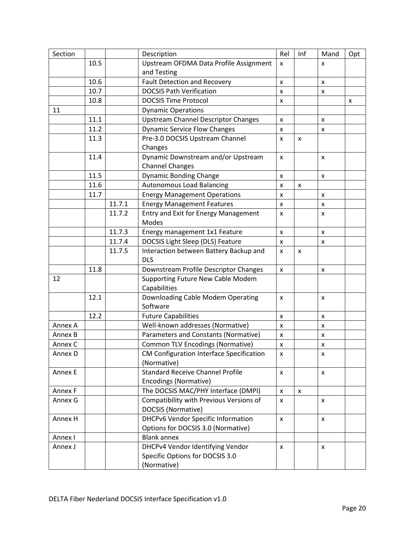| Section |      |        | Description                                | Rel            | Inf                | Mand               | Opt                |
|---------|------|--------|--------------------------------------------|----------------|--------------------|--------------------|--------------------|
|         | 10.5 |        | Upstream OFDMA Data Profile Assignment     | X              |                    | X                  |                    |
|         |      |        | and Testing                                |                |                    |                    |                    |
|         | 10.6 |        | <b>Fault Detection and Recovery</b>        | X              |                    | X                  |                    |
|         | 10.7 |        | <b>DOCSIS Path Verification</b>            | X              |                    | x                  |                    |
|         | 10.8 |        | <b>DOCSIS Time Protocol</b>                | X              |                    |                    | $\pmb{\mathsf{X}}$ |
| 11      |      |        | <b>Dynamic Operations</b>                  |                |                    |                    |                    |
|         | 11.1 |        | <b>Upstream Channel Descriptor Changes</b> | X              |                    | x                  |                    |
|         | 11.2 |        | <b>Dynamic Service Flow Changes</b>        | $\pmb{\times}$ |                    | x                  |                    |
|         | 11.3 |        | Pre-3.0 DOCSIS Upstream Channel            | X              | X                  |                    |                    |
|         |      |        | Changes                                    |                |                    |                    |                    |
|         | 11.4 |        | Dynamic Downstream and/or Upstream         | X              |                    | X                  |                    |
|         |      |        | <b>Channel Changes</b>                     |                |                    |                    |                    |
|         | 11.5 |        | <b>Dynamic Bonding Change</b>              | X              |                    | $\pmb{\mathsf{x}}$ |                    |
|         | 11.6 |        | <b>Autonomous Load Balancing</b>           | X              | X                  |                    |                    |
|         | 11.7 |        | <b>Energy Management Operations</b>        | X              |                    | X                  |                    |
|         |      | 11.7.1 | <b>Energy Management Features</b>          | X              |                    | X                  |                    |
|         |      | 11.7.2 | Entry and Exit for Energy Management       | X              |                    | x                  |                    |
|         |      |        | Modes                                      |                |                    |                    |                    |
|         |      | 11.7.3 | Energy management 1x1 Feature              | X              |                    | $\pmb{\mathsf{x}}$ |                    |
|         |      | 11.7.4 | DOCSIS Light Sleep (DLS) Feature           | X              |                    | $\pmb{\mathsf{x}}$ |                    |
|         |      | 11.7.5 | Interaction between Battery Backup and     | $\mathsf{x}$   | $\pmb{\mathsf{x}}$ |                    |                    |
|         |      |        | <b>DLS</b>                                 |                |                    |                    |                    |
|         | 11.8 |        | Downstream Profile Descriptor Changes      | X              |                    | X                  |                    |
| 12      |      |        | Supporting Future New Cable Modem          |                |                    |                    |                    |
|         |      |        | Capabilities                               |                |                    |                    |                    |
|         | 12.1 |        | Downloading Cable Modem Operating          | X              |                    | X                  |                    |
|         |      |        | Software                                   |                |                    |                    |                    |
|         | 12.2 |        | <b>Future Capabilities</b>                 | $\pmb{\times}$ |                    | $\pmb{\times}$     |                    |
| Annex A |      |        | Well-known addresses (Normative)           | X              |                    | x                  |                    |
| Annex B |      |        | Parameters and Constants (Normative)       | $\pmb{\times}$ |                    | $\pmb{\times}$     |                    |
| Annex C |      |        | <b>Common TLV Encodings (Normative)</b>    | $\pmb{\times}$ |                    | $\pmb{\mathsf{x}}$ |                    |
| Annex D |      |        | CM Configuration Interface Specification   | x              |                    | x                  |                    |
|         |      |        | (Normative)                                |                |                    |                    |                    |
| Annex E |      |        | <b>Standard Receive Channel Profile</b>    | X              |                    | X                  |                    |
|         |      |        | Encodings (Normative)                      |                |                    |                    |                    |
| Annex F |      |        | The DOCSIS MAC/PHY Interface (DMPI)        | $\pmb{\times}$ | $\pmb{\times}$     |                    |                    |
| Annex G |      |        | Compatibility with Previous Versions of    | X              |                    | $\pmb{\mathsf{x}}$ |                    |
|         |      |        | DOCSIS (Normative)                         |                |                    |                    |                    |
| Annex H |      |        | <b>DHCPv6 Vendor Specific Information</b>  | X              |                    | x                  |                    |
|         |      |        | Options for DOCSIS 3.0 (Normative)         |                |                    |                    |                    |
| Annex I |      |        | <b>Blank annex</b>                         |                |                    |                    |                    |
| Annex J |      |        | DHCPv4 Vendor Identifying Vendor           | $\mathsf{x}$   |                    | $\pmb{\mathsf{x}}$ |                    |
|         |      |        | Specific Options for DOCSIS 3.0            |                |                    |                    |                    |
|         |      |        | (Normative)                                |                |                    |                    |                    |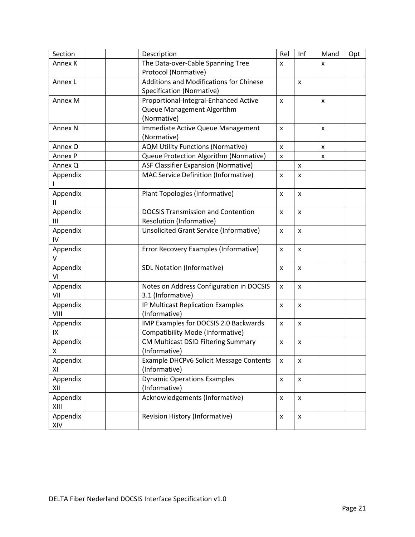| Section            | Description                                    | Rel                | Inf                | Mand | Opt |
|--------------------|------------------------------------------------|--------------------|--------------------|------|-----|
| Annex K            | The Data-over-Cable Spanning Tree              | X                  |                    | x    |     |
|                    | Protocol (Normative)                           |                    |                    |      |     |
| Annex L            | <b>Additions and Modifications for Chinese</b> |                    | $\pmb{\mathsf{x}}$ |      |     |
|                    | Specification (Normative)                      |                    |                    |      |     |
| Annex M            | Proportional-Integral-Enhanced Active          | $\pmb{\times}$     |                    | X    |     |
|                    | Queue Management Algorithm                     |                    |                    |      |     |
|                    | (Normative)                                    |                    |                    |      |     |
| Annex <sub>N</sub> | Immediate Active Queue Management              | X                  |                    | X    |     |
|                    | (Normative)                                    |                    |                    |      |     |
| Annex O            | <b>AQM Utility Functions (Normative)</b>       | $\pmb{\times}$     |                    | x    |     |
| Annex P            | Queue Protection Algorithm (Normative)         | X                  |                    | x    |     |
| Annex Q            | <b>ASF Classifier Expansion (Normative)</b>    |                    | x                  |      |     |
| Appendix           | MAC Service Definition (Informative)           | X                  | X                  |      |     |
| Appendix<br>Ш      | Plant Topologies (Informative)                 | X                  | $\pmb{\times}$     |      |     |
| Appendix           | <b>DOCSIS Transmission and Contention</b>      | X                  | $\pmb{\mathsf{x}}$ |      |     |
| Ш                  | Resolution (Informative)                       |                    |                    |      |     |
| Appendix           | <b>Unsolicited Grant Service (Informative)</b> | $\mathsf{x}$       | $\mathsf{x}$       |      |     |
| IV                 |                                                |                    |                    |      |     |
| Appendix           | Error Recovery Examples (Informative)          | X                  | X                  |      |     |
| V                  |                                                |                    |                    |      |     |
| Appendix           | SDL Notation (Informative)                     | X                  | x                  |      |     |
| VI                 |                                                |                    |                    |      |     |
| Appendix           | Notes on Address Configuration in DOCSIS       | X                  | $\pmb{\mathsf{x}}$ |      |     |
| VII                | 3.1 (Informative)                              |                    |                    |      |     |
| Appendix           | IP Multicast Replication Examples              | X                  | X                  |      |     |
| VIII               | (Informative)                                  |                    |                    |      |     |
| Appendix           | IMP Examples for DOCSIS 2.0 Backwards          | X                  | X                  |      |     |
| IX                 | Compatibility Mode (Informative)               |                    |                    |      |     |
| Appendix           | CM Multicast DSID Filtering Summary            | X                  | x                  |      |     |
| Χ                  | (Informative)                                  |                    |                    |      |     |
| Appendix           | Example DHCPv6 Solicit Message Contents        | X                  | $\pmb{\mathsf{x}}$ |      |     |
| ΧI                 | (Informative)                                  |                    |                    |      |     |
| Appendix           | <b>Dynamic Operations Examples</b>             | $\pmb{\times}$     | $\pmb{\mathsf{x}}$ |      |     |
| XII                | (Informative)                                  |                    |                    |      |     |
| Appendix<br>XIII   | Acknowledgements (Informative)                 | $\pmb{\times}$     | $\pmb{\times}$     |      |     |
| Appendix<br>XIV    | <b>Revision History (Informative)</b>          | $\pmb{\mathsf{x}}$ | $\pmb{\mathsf{x}}$ |      |     |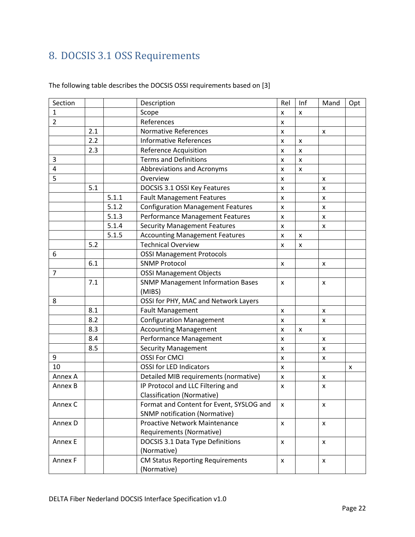# <span id="page-21-0"></span>8. DOCSIS 3.1 OSS Requirements

| The following table describes the DOCSIS OSSI requirements based on [3] |  |
|-------------------------------------------------------------------------|--|
|-------------------------------------------------------------------------|--|

| Section        |     |       | Description                              | Rel            | Inf                | Mand               | Opt |
|----------------|-----|-------|------------------------------------------|----------------|--------------------|--------------------|-----|
| $\mathbf{1}$   |     |       | Scope                                    | x              | X                  |                    |     |
| $\overline{2}$ |     |       | References                               | X              |                    |                    |     |
|                | 2.1 |       | <b>Normative References</b>              | X              |                    | X                  |     |
|                | 2.2 |       | <b>Informative References</b>            | X              | $\pmb{\mathsf{X}}$ |                    |     |
|                | 2.3 |       | <b>Reference Acquisition</b>             | X              | X                  |                    |     |
| 3              |     |       | <b>Terms and Definitions</b>             | X              | $\pmb{\mathsf{X}}$ |                    |     |
| 4              |     |       | Abbreviations and Acronyms               | X              | X                  |                    |     |
| 5              |     |       | Overview                                 | X              |                    | X                  |     |
|                | 5.1 |       | DOCSIS 3.1 OSSI Key Features             | X              |                    | X                  |     |
|                |     | 5.1.1 | <b>Fault Management Features</b>         | X              |                    | X                  |     |
|                |     | 5.1.2 | <b>Configuration Management Features</b> | $\mathsf{x}$   |                    | X                  |     |
|                |     | 5.1.3 | Performance Management Features          | x              |                    | $\pmb{\times}$     |     |
|                |     | 5.1.4 | <b>Security Management Features</b>      | X              |                    | X                  |     |
|                |     | 5.1.5 | <b>Accounting Management Features</b>    | X              | x                  |                    |     |
|                | 5.2 |       | <b>Technical Overview</b>                | $\pmb{\times}$ | X                  |                    |     |
| 6              |     |       | <b>OSSI Management Protocols</b>         |                |                    |                    |     |
|                | 6.1 |       | <b>SNMP Protocol</b>                     | X              |                    | X                  |     |
| $\overline{7}$ |     |       | <b>OSSI Management Objects</b>           |                |                    |                    |     |
|                | 7.1 |       | <b>SNMP Management Information Bases</b> | X              |                    | X                  |     |
|                |     |       | (MIBS)                                   |                |                    |                    |     |
| 8              |     |       | OSSI for PHY, MAC and Network Layers     |                |                    |                    |     |
|                | 8.1 |       | <b>Fault Management</b>                  | X              |                    | X                  |     |
|                | 8.2 |       | <b>Configuration Management</b>          | X              |                    | X                  |     |
|                | 8.3 |       | <b>Accounting Management</b>             | X              | X                  |                    |     |
|                | 8.4 |       | Performance Management                   | X              |                    | X                  |     |
|                | 8.5 |       | <b>Security Management</b>               | X              |                    | X                  |     |
| 9              |     |       | <b>OSSI For CMCI</b>                     | X              |                    | X                  |     |
| 10             |     |       | <b>OSSI for LED Indicators</b>           | X              |                    |                    | x   |
| Annex A        |     |       | Detailed MIB requirements (normative)    | X              |                    | $\mathsf{x}$       |     |
| Annex B        |     |       | IP Protocol and LLC Filtering and        | X              |                    | X                  |     |
|                |     |       | <b>Classification (Normative)</b>        |                |                    |                    |     |
| Annex C        |     |       | Format and Content for Event, SYSLOG and | x              |                    | X                  |     |
|                |     |       | <b>SNMP notification (Normative)</b>     |                |                    |                    |     |
| Annex D        |     |       | Proactive Network Maintenance            | $\pmb{\times}$ |                    | $\mathsf{x}$       |     |
|                |     |       | Requirements (Normative)                 |                |                    |                    |     |
| Annex E        |     |       | DOCSIS 3.1 Data Type Definitions         | $\mathsf{x}$   |                    | X                  |     |
|                |     |       | (Normative)                              |                |                    |                    |     |
| Annex F        |     |       | <b>CM Status Reporting Requirements</b>  | $\pmb{\times}$ |                    | $\pmb{\mathsf{X}}$ |     |
|                |     |       | (Normative)                              |                |                    |                    |     |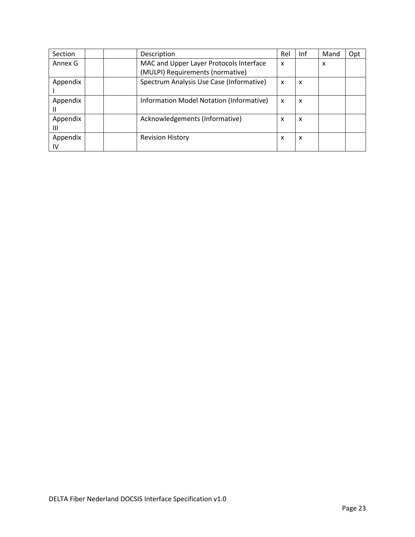| Section        | Description                                                                 | Rel                       | Inf | Mand | Opt |
|----------------|-----------------------------------------------------------------------------|---------------------------|-----|------|-----|
| Annex G        | MAC and Upper Layer Protocols Interface<br>(MULPI) Requirements (normative) | X                         |     | x    |     |
|                |                                                                             |                           |     |      |     |
| Appendix       | Spectrum Analysis Use Case (Informative)                                    | $\boldsymbol{\mathsf{x}}$ | x   |      |     |
| Appendix       | Information Model Notation (Informative)                                    | X                         | x   |      |     |
| Appendix<br>Ш  | Acknowledgements (Informative)                                              | X                         | x   |      |     |
| Appendix<br>IV | <b>Revision History</b>                                                     | X                         | x   |      |     |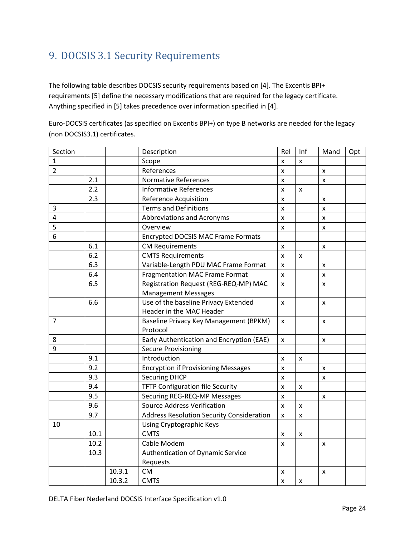### <span id="page-23-0"></span>9. DOCSIS 3.1 Security Requirements

The following table describes DOCSIS security requirements based on [4]. The Excentis BPI+ requirements [5] define the necessary modifications that are required for the legacy certificate. Anything specified in [5] takes precedence over information specified in [4].

Euro-DOCSIS certificates (as specified on Excentis BPI+) on type B networks are needed for the legacy (non DOCSIS3.1) certificates.

| Section        |      |        | Description                                      | Rel                       | Inf | Mand | Opt |
|----------------|------|--------|--------------------------------------------------|---------------------------|-----|------|-----|
| 1              |      |        | Scope                                            | X                         | X   |      |     |
| $\overline{2}$ |      |        | References                                       | X                         |     | X    |     |
|                | 2.1  |        | <b>Normative References</b>                      | X                         |     | X    |     |
|                | 2.2  |        | <b>Informative References</b>                    | X                         | X   |      |     |
|                | 2.3  |        | <b>Reference Acquisition</b>                     | X                         |     | X    |     |
| 3              |      |        | <b>Terms and Definitions</b>                     | X                         |     | X    |     |
| 4              |      |        | Abbreviations and Acronyms                       | X                         |     | X    |     |
| 5              |      |        | Overview                                         | X                         |     | X    |     |
| 6              |      |        | <b>Encrypted DOCSIS MAC Frame Formats</b>        |                           |     |      |     |
|                | 6.1  |        | <b>CM Requirements</b>                           | X                         |     | X    |     |
|                | 6.2  |        | <b>CMTS Requirements</b>                         | X                         | X   |      |     |
|                | 6.3  |        | Variable-Length PDU MAC Frame Format             | $\boldsymbol{\mathsf{x}}$ |     | X    |     |
|                | 6.4  |        | <b>Fragmentation MAC Frame Format</b>            | X                         |     | X    |     |
|                | 6.5  |        | Registration Request (REG-REQ-MP) MAC            | X                         |     | X    |     |
|                |      |        | <b>Management Messages</b>                       |                           |     |      |     |
|                | 6.6  |        | Use of the baseline Privacy Extended             | X                         |     | X    |     |
|                |      |        | Header in the MAC Header                         |                           |     |      |     |
| 7              |      |        | Baseline Privacy Key Management (BPKM)           | X                         |     | X    |     |
|                |      |        | Protocol                                         |                           |     |      |     |
| 8              |      |        | Early Authentication and Encryption (EAE)        | X                         |     | X    |     |
| 9              |      |        | <b>Secure Provisioning</b>                       |                           |     |      |     |
|                | 9.1  |        | Introduction                                     | $\mathsf{x}$              | X   |      |     |
|                | 9.2  |        | <b>Encryption if Provisioning Messages</b>       | X                         |     | X    |     |
|                | 9.3  |        | <b>Securing DHCP</b>                             | X                         |     | X    |     |
|                | 9.4  |        | TFTP Configuration file Security                 | $\boldsymbol{\mathsf{x}}$ | X   |      |     |
|                | 9.5  |        | Securing REG-REQ-MP Messages                     | X                         |     | X    |     |
|                | 9.6  |        | <b>Source Address Verification</b>               | X                         | X   |      |     |
|                | 9.7  |        | <b>Address Resolution Security Consideration</b> | X                         | X   |      |     |
| 10             |      |        | Using Cryptographic Keys                         |                           |     |      |     |
|                | 10.1 |        | <b>CMTS</b>                                      | X                         | X   |      |     |
|                | 10.2 |        | Cable Modem                                      | X                         |     | X    |     |
|                | 10.3 |        | Authentication of Dynamic Service                |                           |     |      |     |
|                |      |        | Requests                                         |                           |     |      |     |
|                |      | 10.3.1 | <b>CM</b>                                        | X                         |     | X    |     |
|                |      | 10.3.2 | <b>CMTS</b>                                      | X                         | X   |      |     |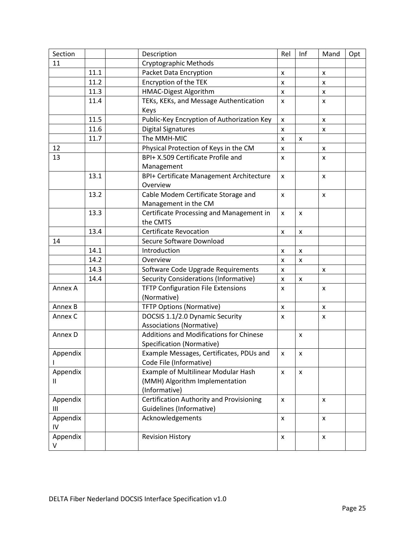| Section  |      | Description                                     | Rel                | Inf            | Mand         | Opt |
|----------|------|-------------------------------------------------|--------------------|----------------|--------------|-----|
| 11       |      | Cryptographic Methods                           |                    |                |              |     |
|          | 11.1 | Packet Data Encryption                          | X                  |                | x            |     |
|          | 11.2 | Encryption of the TEK                           | X                  |                | X            |     |
|          | 11.3 | HMAC-Digest Algorithm                           | $\pmb{\times}$     |                | X            |     |
|          | 11.4 | TEKs, KEKs, and Message Authentication          | X                  |                | x            |     |
|          |      | Keys                                            |                    |                |              |     |
|          | 11.5 | Public-Key Encryption of Authorization Key      | $\pmb{\times}$     |                | x            |     |
|          | 11.6 | <b>Digital Signatures</b>                       | X                  |                | X            |     |
|          | 11.7 | The MMH-MIC                                     | X                  | X              |              |     |
| 12       |      | Physical Protection of Keys in the CM           | $\mathsf{x}$       |                | X            |     |
| 13       |      | BPI+ X.509 Certificate Profile and              | X                  |                | $\mathsf{x}$ |     |
|          |      | Management                                      |                    |                |              |     |
|          | 13.1 | BPI+ Certificate Management Architecture        | X                  |                | X            |     |
|          |      | Overview                                        |                    |                |              |     |
|          | 13.2 | Cable Modem Certificate Storage and             | X                  |                | X            |     |
|          |      | Management in the CM                            |                    |                |              |     |
|          | 13.3 | Certificate Processing and Management in        | X                  | X              |              |     |
|          |      | the CMTS                                        |                    |                |              |     |
|          | 13.4 | <b>Certificate Revocation</b>                   | X                  | X              |              |     |
| 14       |      | Secure Software Download                        |                    |                |              |     |
|          | 14.1 | Introduction                                    | X                  | X              |              |     |
|          | 14.2 | Overview                                        | X                  | $\pmb{\times}$ |              |     |
|          | 14.3 | Software Code Upgrade Requirements              | X                  |                | x            |     |
|          | 14.4 | <b>Security Considerations (Informative)</b>    | X                  | X              |              |     |
| Annex A  |      | <b>TFTP Configuration File Extensions</b>       | X                  |                | x            |     |
|          |      | (Normative)                                     |                    |                |              |     |
| Annex B  |      | <b>TFTP Options (Normative)</b>                 | X                  |                | x            |     |
| Annex C  |      | DOCSIS 1.1/2.0 Dynamic Security                 | X                  |                | X            |     |
|          |      | <b>Associations (Normative)</b>                 |                    |                |              |     |
| Annex D  |      | Additions and Modifications for Chinese         |                    | X              |              |     |
|          |      | Specification (Normative)                       |                    |                |              |     |
| Appendix |      | Example Messages, Certificates, PDUs and        | x                  | x              |              |     |
|          |      | Code File (Informative)                         |                    |                |              |     |
| Appendix |      | Example of Multilinear Modular Hash             | $\pmb{\times}$     | X              |              |     |
| Ш        |      | (MMH) Algorithm Implementation                  |                    |                |              |     |
|          |      | (Informative)                                   |                    |                |              |     |
| Appendix |      | <b>Certification Authority and Provisioning</b> | X                  |                | X            |     |
| Ш        |      | Guidelines (Informative)                        |                    |                |              |     |
| Appendix |      | Acknowledgements                                | $\mathsf{x}$       |                | X            |     |
| IV       |      |                                                 |                    |                |              |     |
| Appendix |      | <b>Revision History</b>                         | $\pmb{\mathsf{x}}$ |                | X            |     |
| V        |      |                                                 |                    |                |              |     |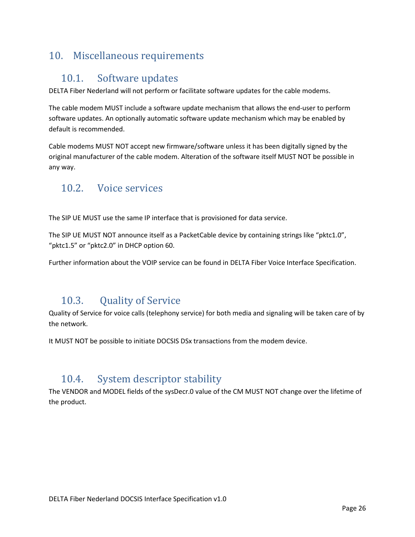### <span id="page-25-1"></span><span id="page-25-0"></span>10. Miscellaneous requirements

#### 10.1. Software updates

DELTA Fiber Nederland will not perform or facilitate software updates for the cable modems.

The cable modem MUST include a software update mechanism that allows the end-user to perform software updates. An optionally automatic software update mechanism which may be enabled by default is recommended.

Cable modems MUST NOT accept new firmware/software unless it has been digitally signed by the original manufacturer of the cable modem. Alteration of the software itself MUST NOT be possible in any way.

#### <span id="page-25-2"></span>10.2. Voice services

The SIP UE MUST use the same IP interface that is provisioned for data service.

The SIP UE MUST NOT announce itself as a PacketCable device by containing strings like "pktc1.0", "pktc1.5" or "pktc2.0" in DHCP option 60.

Further information about the VOIP service can be found in DELTA Fiber Voice Interface Specification.

### <span id="page-25-3"></span>10.3. Quality of Service

Quality of Service for voice calls (telephony service) for both media and signaling will be taken care of by the network.

It MUST NOT be possible to initiate DOCSIS DSx transactions from the modem device.

### <span id="page-25-4"></span>10.4. System descriptor stability

The VENDOR and MODEL fields of the sysDecr.0 value of the CM MUST NOT change over the lifetime of the product.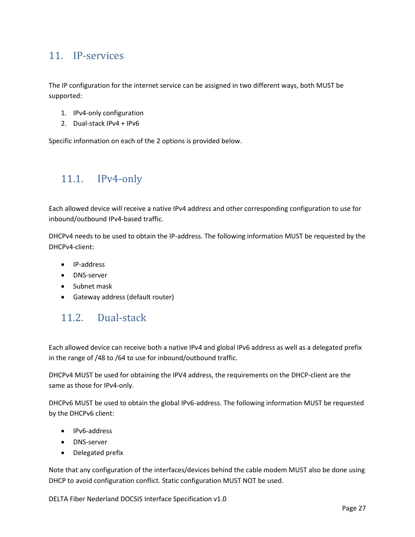#### <span id="page-26-0"></span>11. IP-services

The IP configuration for the internet service can be assigned in two different ways, both MUST be supported:

- 1. IPv4-only configuration
- 2. Dual-stack IPv4 + IPv6

Specific information on each of the 2 options is provided below.

#### <span id="page-26-1"></span>11.1. IPv4-only

Each allowed device will receive a native IPv4 address and other corresponding configuration to use for inbound/outbound IPv4-based traffic.

DHCPv4 needs to be used to obtain the IP-address. The following information MUST be requested by the DHCPv4-client:

- IP-address
- DNS-server
- Subnet mask
- Gateway address (default router)

### <span id="page-26-2"></span>11.2. Dual-stack

Each allowed device can receive both a native IPv4 and global IPv6 address as well as a delegated prefix in the range of /48 to /64 to use for inbound/outbound traffic.

DHCPv4 MUST be used for obtaining the IPV4 address, the requirements on the DHCP-client are the same as those for IPv4-only.

DHCPv6 MUST be used to obtain the global IPv6-address. The following information MUST be requested by the DHCPv6 client:

- IPv6-address
- DNS-server
- Delegated prefix

Note that any configuration of the interfaces/devices behind the cable modem MUST also be done using DHCP to avoid configuration conflict. Static configuration MUST NOT be used.

DELTA Fiber Nederland DOCSIS Interface Specification v1.0